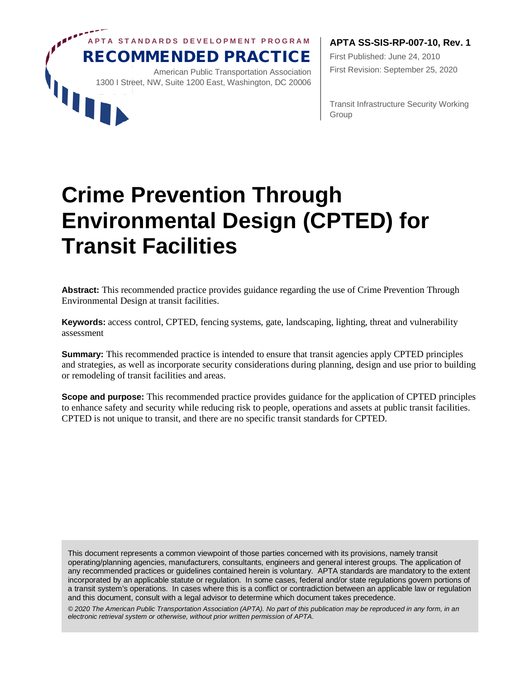

First Published: June 24, 2010 First Revision: September 25, 2020

Transit Infrastructure Security Working Group

# **Crime Prevention Through Environmental Design (CPTED) for Transit Facilities**

**Abstract:** This recommended practice provides guidance regarding the use of Crime Prevention Through Environmental Design at transit facilities.

**Keywords:** access control, CPTED, fencing systems, gate, landscaping, lighting, threat and vulnerability assessment

**Summary:** This recommended practice is intended to ensure that transit agencies apply CPTED principles and strategies, as well as incorporate security considerations during planning, design and use prior to building or remodeling of transit facilities and areas.

**Scope and purpose:** This recommended practice provides guidance for the application of CPTED principles to enhance safety and security while reducing risk to people, operations and assets at public transit facilities. CPTED is not unique to transit, and there are no specific transit standards for CPTED.

This document represents a common viewpoint of those parties concerned with its provisions, namely transit operating/planning agencies, manufacturers, consultants, engineers and general interest groups. The application of any recommended practices or guidelines contained herein is voluntary. APTA standards are mandatory to the extent incorporated by an applicable statute or regulation. In some cases, federal and/or state regulations govern portions of a transit system's operations. In cases where this is a conflict or contradiction between an applicable law or regulation and this document, consult with a legal advisor to determine which document takes precedence.

*© 2020 The American Public Transportation Association (APTA). No part of this publication may be reproduced in any form, in an electronic retrieval system or otherwise, without prior written permission of APTA.*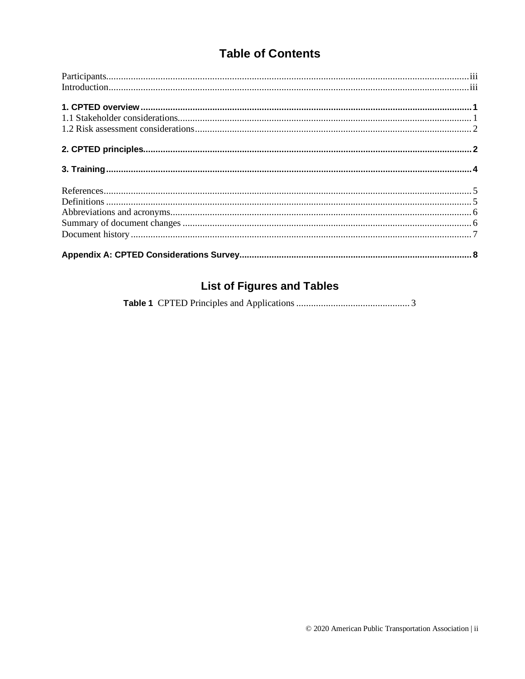## **Table of Contents**

## **List of Figures and Tables**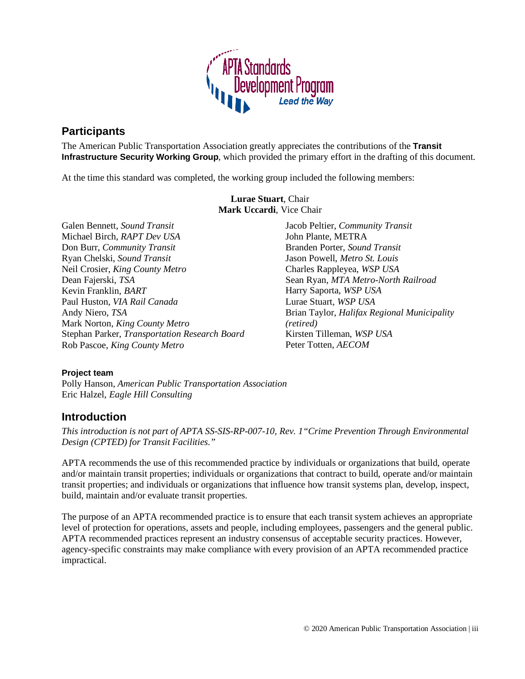

## <span id="page-2-0"></span>**Participants**

The American Public Transportation Association greatly appreciates the contributions of the **Transit Infrastructure Security Working Group**, which provided the primary effort in the drafting of this document.

At the time this standard was completed, the working group included the following members:

**Lurae Stuart**, Chair **Mark Uccardi**, Vice Chair

Galen Bennett, *Sound Transit* Michael Birch, *RAPT Dev USA* Don Burr, *Community Transit* Ryan Chelski, *Sound Transit* Neil Crosier, *King County Metro* Dean Fajerski, *TSA* Kevin Franklin, *BART* Paul Huston, *VIA Rail Canada* Andy Niero, *TSA* Mark Norton, *King County Metro* Stephan Parker, *Transportation Research Board* Rob Pascoe, *King County Metro*

Jacob Peltier, *Community Transit* John Plante, METRA Branden Porter, *Sound Transit* Jason Powell, *Metro St. Louis* Charles Rappleyea, *WSP USA* Sean Ryan, *MTA Metro-North Railroad*  Harry Saporta, *WSP USA* Lurae Stuart, *WSP USA* Brian Taylor, *Halifax Regional Municipality (retired)* Kirsten Tilleman, *WSP USA* Peter Totten, *AECOM*

## **Project team**

Polly Hanson, *American Public Transportation Association* Eric Halzel, *Eagle Hill Consulting*

## <span id="page-2-1"></span>**Introduction**

*This introduction is not part of APTA SS-SIS-RP-007-10, Rev. 1"Crime Prevention Through Environmental Design (CPTED) for Transit Facilities."*

APTA recommends the use of this recommended practice by individuals or organizations that build, operate and/or maintain transit properties; individuals or organizations that contract to build, operate and/or maintain transit properties; and individuals or organizations that influence how transit systems plan, develop, inspect, build, maintain and/or evaluate transit properties.

The purpose of an APTA recommended practice is to ensure that each transit system achieves an appropriate level of protection for operations, assets and people, including employees, passengers and the general public. APTA recommended practices represent an industry consensus of acceptable security practices. However, agency-specific constraints may make compliance with every provision of an APTA recommended practice impractical.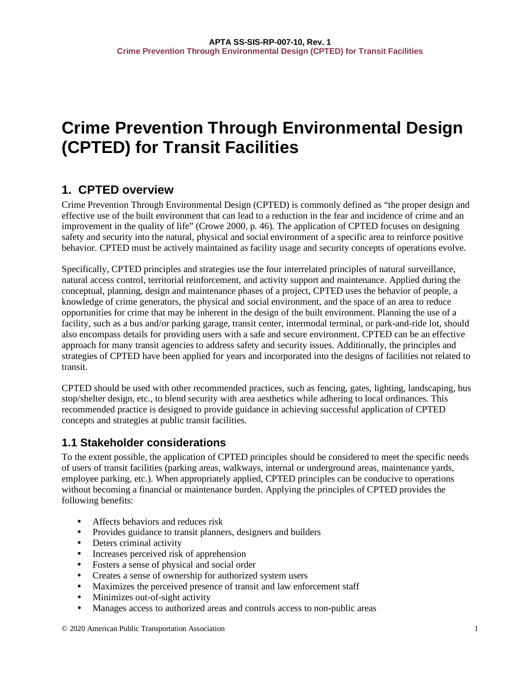## **Crime Prevention Through Environmental Design (CPTED) for Transit Facilities**

## <span id="page-3-0"></span>**1. CPTED overview**

Crime Prevention Through Environmental Design (CPTED) is commonly defined as "the proper design and effective use of the built environment that can lead to a reduction in the fear and incidence of crime and an improvement in the quality of life" (Crowe 2000, p. 46). The application of CPTED focuses on designing safety and security into the natural, physical and social environment of a specific area to reinforce positive behavior. CPTED must be actively maintained as facility usage and security concepts of operations evolve.

Specifically, CPTED principles and strategies use the four interrelated principles of natural surveillance, natural access control, territorial reinforcement, and activity support and maintenance. Applied during the conceptual, planning, design and maintenance phases of a project, CPTED uses the behavior of people, a knowledge of crime generators, the physical and social environment, and the space of an area to reduce opportunities for crime that may be inherent in the design of the built environment. Planning the use of a facility, such as a bus and/or parking garage, transit center, intermodal terminal, or park-and-ride lot, should also encompass details for providing users with a safe and secure environment. CPTED can be an effective approach for many transit agencies to address safety and security issues. Additionally, the principles and strategies of CPTED have been applied for years and incorporated into the designs of facilities not related to transit.

CPTED should be used with other recommended practices, such as fencing, gates, lighting, landscaping, bus stop/shelter design, etc., to blend security with area aesthetics while adhering to local ordinances. This recommended practice is designed to provide guidance in achieving successful application of CPTED concepts and strategies at public transit facilities.

## <span id="page-3-1"></span>**1.1 Stakeholder considerations**

To the extent possible, the application of CPTED principles should be considered to meet the specific needs of users of transit facilities (parking areas, walkways, internal or underground areas, maintenance yards, employee parking, etc.). When appropriately applied, CPTED principles can be conducive to operations without becoming a financial or maintenance burden. Applying the principles of CPTED provides the following benefits:

- Affects behaviors and reduces risk
- Provides guidance to transit planners, designers and builders
- Deters criminal activity
- Increases perceived risk of apprehension
- Fosters a sense of physical and social order
- Creates a sense of ownership for authorized system users
- Maximizes the perceived presence of transit and law enforcement staff
- Minimizes out-of-sight activity
- Manages access to authorized areas and controls access to non-public areas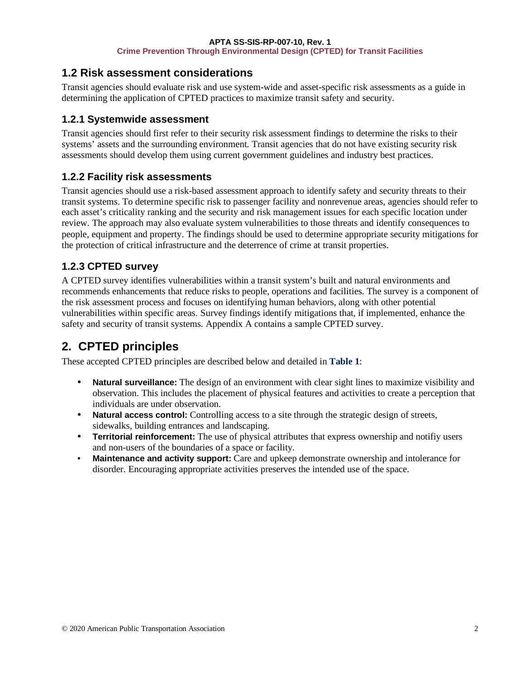## <span id="page-4-0"></span>**1.2 Risk assessment considerations**

Transit agencies should evaluate risk and use system-wide and asset-specific risk assessments as a guide in determining the application of CPTED practices to maximize transit safety and security.

## **1.2.1 Systemwide assessment**

Transit agencies should first refer to their security risk assessment findings to determine the risks to their systems' assets and the surrounding environment. Transit agencies that do not have existing security risk assessments should develop them using current government guidelines and industry best practices.

## **1.2.2 Facility risk assessments**

Transit agencies should use a risk-based assessment approach to identify safety and security threats to their transit systems. To determine specific risk to passenger facility and nonrevenue areas, agencies should refer to each asset's criticality ranking and the security and risk management issues for each specific location under review. The approach may also evaluate system vulnerabilities to those threats and identify consequences to people, equipment and property. The findings should be used to determine appropriate security mitigations for the protection of critical infrastructure and the deterrence of crime at transit properties.

## **1.2.3 CPTED survey**

A CPTED survey identifies vulnerabilities within a transit system's built and natural environments and recommends enhancements that reduce risks to people, operations and facilities. The survey is a component of the risk assessment process and focuses on identifying human behaviors, along with other potential vulnerabilities within specific areas. Survey findings identify mitigations that, if implemented, enhance the safety and security of transit systems. Appendix A contains a sample CPTED survey.

## <span id="page-4-1"></span>**2. CPTED principles**

These accepted CPTED principles are described below and detailed in **Table 1**:

- **Natural surveillance:** The design of an environment with clear sight lines to maximize visibility and observation. This includes the placement of physical features and activities to create a perception that individuals are under observation.
- Natural access control: Controlling access to a site through the strategic design of streets, sidewalks, building entrances and landscaping.
- **Territorial reinforcement:** The use of physical attributes that express ownership and notifiy users and non-users of the boundaries of a space or facility.
- **Maintenance and activity support:** Care and upkeep demonstrate ownership and intolerance for disorder. Encouraging appropriate activities preserves the intended use of the space.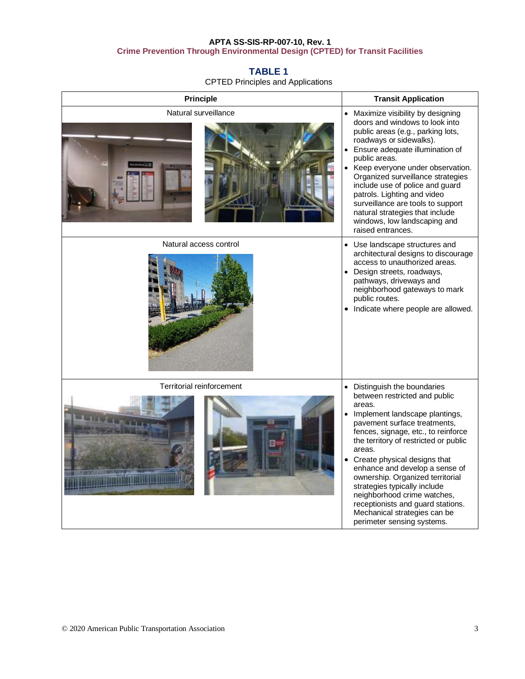## <span id="page-5-0"></span>**TABLE 1**

CPTED Principles and Applications

| <b>Principle</b>                                     | <b>Transit Application</b>                                                                                                                                                                                                                                                                                                                                                                                                                                                                                             |
|------------------------------------------------------|------------------------------------------------------------------------------------------------------------------------------------------------------------------------------------------------------------------------------------------------------------------------------------------------------------------------------------------------------------------------------------------------------------------------------------------------------------------------------------------------------------------------|
| Natural surveillance                                 | • Maximize visibility by designing<br>doors and windows to look into<br>public areas (e.g., parking lots,<br>roadways or sidewalks).<br>Ensure adequate illumination of<br>public areas.<br>Keep everyone under observation.<br>Organized surveillance strategies<br>include use of police and guard<br>patrols. Lighting and video<br>surveillance are tools to support<br>natural strategies that include<br>windows, low landscaping and<br>raised entrances.                                                       |
| Natural access control                               | Use landscape structures and<br>$\bullet$<br>architectural designs to discourage<br>access to unauthorized areas.<br>Design streets, roadways,<br>pathways, driveways and<br>neighborhood gateways to mark<br>public routes.<br>Indicate where people are allowed.<br>$\bullet$                                                                                                                                                                                                                                        |
| Territorial reinforcement<br><b>Call Exploration</b> | Distinguish the boundaries<br>between restricted and public<br>areas.<br>Implement landscape plantings,<br>$\bullet$<br>pavement surface treatments,<br>fences, signage, etc., to reinforce<br>the territory of restricted or public<br>areas.<br>Create physical designs that<br>enhance and develop a sense of<br>ownership. Organized territorial<br>strategies typically include<br>neighborhood crime watches,<br>receptionists and guard stations.<br>Mechanical strategies can be<br>perimeter sensing systems. |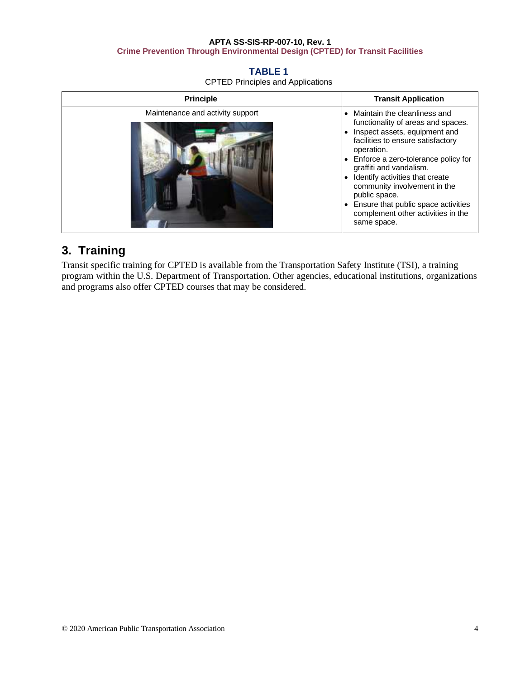## **TABLE 1**

CPTED Principles and Applications

| <b>Principle</b>                 | <b>Transit Application</b>                                                                                                                                                                                                                                                                                                                                                                                 |
|----------------------------------|------------------------------------------------------------------------------------------------------------------------------------------------------------------------------------------------------------------------------------------------------------------------------------------------------------------------------------------------------------------------------------------------------------|
| Maintenance and activity support | Maintain the cleanliness and<br>functionality of areas and spaces.<br>Inspect assets, equipment and<br>facilities to ensure satisfactory<br>operation.<br>• Enforce a zero-tolerance policy for<br>graffiti and vandalism.<br>Identify activities that create<br>community involvement in the<br>public space.<br>Ensure that public space activities<br>complement other activities in the<br>same space. |

## <span id="page-6-0"></span>**3. Training**

Transit specific training for CPTED is available from the Transportation Safety Institute (TSI), a training program within the U.S. Department of Transportation. Other agencies, educational institutions, organizations and programs also offer CPTED courses that may be considered.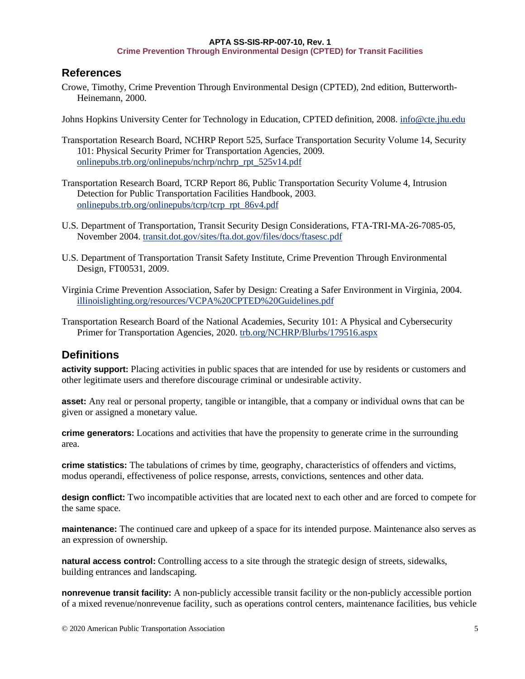## <span id="page-7-0"></span>**References**

Crowe, Timothy, Crime Prevention Through Environmental Design (CPTED), 2nd edition, Butterworth-Heinemann, 2000.

Johns Hopkins University Center for Technology in Education, CPTED definition, 2008. info@cte.jhu.edu

- Transportation Research Board, NCHRP Report 525, Surface Transportation Security Volume 14, Security 101: Physical Security Primer for Transportation Agencies, 2009. [onlinepubs.trb.org/onlinepubs/nchrp/nchrp\\_rpt\\_525v14.pdf](http://onlinepubs.trb.org/onlinepubs/nchrp/nchrp_rpt_525v14.pdf)
- Transportation Research Board, TCRP Report 86, Public Transportation Security Volume 4, Intrusion Detection for Public Transportation Facilities Handbook, 2003. [onlinepubs.trb.org/onlinepubs/tcrp/tcrp\\_rpt\\_86v4.pdf](http://onlinepubs.trb.org/onlinepubs/tcrp/tcrp_rpt_86v4.pdf)
- U.S. Department of Transportation, Transit Security Design Considerations, FTA-TRI-MA-26-7085-05, November 2004[. transit.dot.gov/sites/fta.dot.gov/files/docs/ftasesc.pdf](https://www.transit.dot.gov/sites/fta.dot.gov/files/docs/ftasesc.pdf)
- U.S. Department of Transportation Transit Safety Institute, Crime Prevention Through Environmental Design, FT00531, 2009.
- Virginia Crime Prevention Association, Safer by Design: Creating a Safer Environment in Virginia, 2004. [illinoislighting.org/resources/VCPA%20CPTED%20Guidelines.pdf](http://www.illinoislighting.org/resources/VCPA%20CPTED%20Guidelines.pdf)
- Transportation Research Board of the National Academies, Security 101: A Physical and Cybersecurity Primer for Transportation Agencies, 2020[. trb.org/NCHRP/Blurbs/179516.aspx](http://www.trb.org/NCHRP/Blurbs/179516.aspx)

## <span id="page-7-1"></span>**Definitions**

**activity support:** Placing activities in public spaces that are intended for use by residents or customers and other legitimate users and therefore discourage criminal or undesirable activity.

**asset:** Any real or personal property, tangible or intangible, that a company or individual owns that can be given or assigned a monetary value.

**crime generators:** Locations and activities that have the propensity to generate crime in the surrounding area.

**crime statistics:** The tabulations of crimes by time, geography, characteristics of offenders and victims, modus operandi, effectiveness of police response, arrests, convictions, sentences and other data.

**design conflict:** Two incompatible activities that are located next to each other and are forced to compete for the same space.

**maintenance:** The continued care and upkeep of a space for its intended purpose. Maintenance also serves as an expression of ownership.

**natural access control:** Controlling access to a site through the strategic design of streets, sidewalks, building entrances and landscaping.

**nonrevenue transit facility:** A non-publicly accessible transit facility or the non-publicly accessible portion of a mixed revenue/nonrevenue facility, such as operations control centers, maintenance facilities, bus vehicle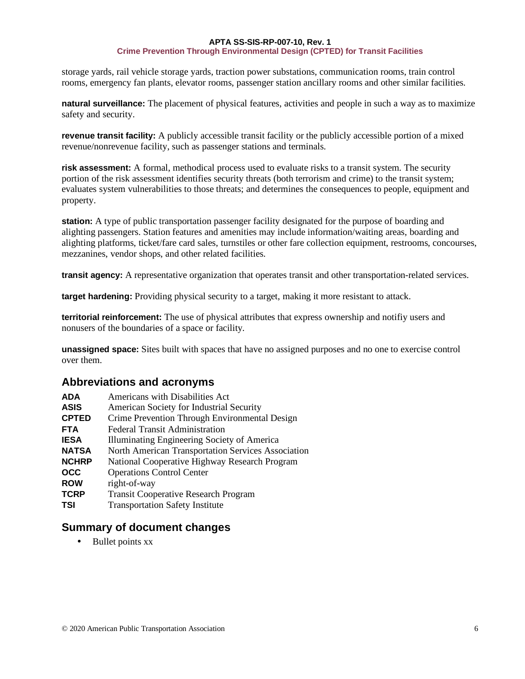storage yards, rail vehicle storage yards, traction power substations, communication rooms, train control rooms, emergency fan plants, elevator rooms, passenger station ancillary rooms and other similar facilities.

**natural surveillance:** The placement of physical features, activities and people in such a way as to maximize safety and security.

**revenue transit facility:** A publicly accessible transit facility or the publicly accessible portion of a mixed revenue/nonrevenue facility, such as passenger stations and terminals.

**risk assessment:** A formal, methodical process used to evaluate risks to a transit system. The security portion of the risk assessment identifies security threats (both terrorism and crime) to the transit system; evaluates system vulnerabilities to those threats; and determines the consequences to people, equipment and property.

**station:** A type of public transportation passenger facility designated for the purpose of boarding and alighting passengers. Station features and amenities may include information/waiting areas, boarding and alighting platforms, ticket/fare card sales, turnstiles or other fare collection equipment, restrooms, concourses, mezzanines, vendor shops, and other related facilities.

**transit agency:** A representative organization that operates transit and other transportation-related services.

**target hardening:** Providing physical security to a target, making it more resistant to attack.

**territorial reinforcement:** The use of physical attributes that express ownership and notifiy users and nonusers of the boundaries of a space or facility.

**unassigned space:** Sites built with spaces that have no assigned purposes and no one to exercise control over them.

## <span id="page-8-0"></span>**Abbreviations and acronyms**

| <b>ADA</b>   | Americans with Disabilities Act                    |
|--------------|----------------------------------------------------|
| <b>ASIS</b>  | American Society for Industrial Security           |
| <b>CPTED</b> | Crime Prevention Through Environmental Design      |
| <b>FTA</b>   | <b>Federal Transit Administration</b>              |
| <b>IESA</b>  | Illuminating Engineering Society of America        |
| <b>NATSA</b> | North American Transportation Services Association |
| <b>NCHRP</b> | National Cooperative Highway Research Program      |
| <b>OCC</b>   | <b>Operations Control Center</b>                   |
| <b>ROW</b>   | right-of-way                                       |
| <b>TCRP</b>  | <b>Transit Cooperative Research Program</b>        |
| TSI          | <b>Transportation Safety Institute</b>             |

## <span id="page-8-1"></span>**Summary of document changes**

• Bullet points xx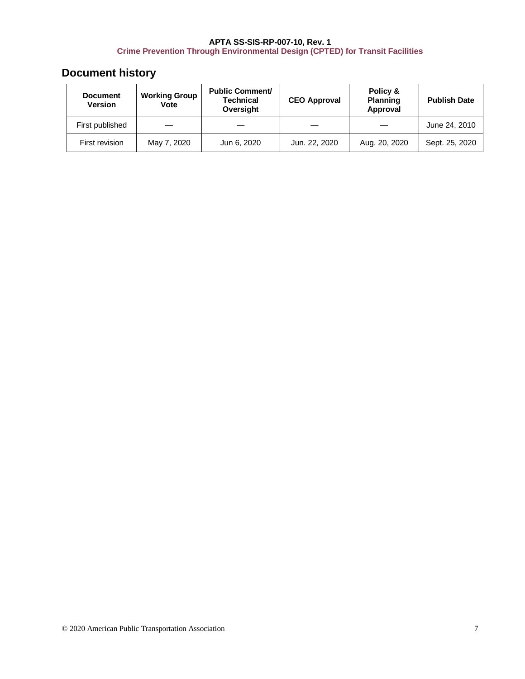## <span id="page-9-0"></span>**Document history**

| <b>Document</b><br><b>Version</b> | <b>Working Group</b><br>Vote | <b>Public Comment/</b><br><b>Technical</b><br>Oversight | <b>CEO Approval</b> | Policy &<br><b>Planning</b><br>Approval | <b>Publish Date</b> |
|-----------------------------------|------------------------------|---------------------------------------------------------|---------------------|-----------------------------------------|---------------------|
| First published                   |                              |                                                         |                     |                                         | June 24, 2010       |
| First revision                    | May 7, 2020                  | Jun 6, 2020                                             | Jun. 22, 2020       | Aug. 20, 2020                           | Sept. 25, 2020      |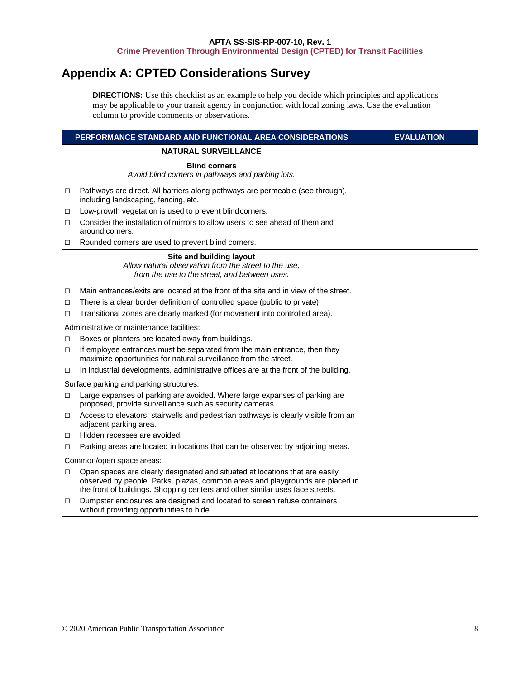## <span id="page-10-0"></span>**Appendix A: CPTED Considerations Survey**

**DIRECTIONS:** Use this checklist as an example to help you decide which principles and applications may be applicable to your transit agency in conjunction with local zoning laws. Use the evaluation column to provide comments or observations.

|        | PERFORMANCE STANDARD AND FUNCTIONAL AREA CONSIDERATIONS                                                                                                                                                                                        | <b>EVALUATION</b> |
|--------|------------------------------------------------------------------------------------------------------------------------------------------------------------------------------------------------------------------------------------------------|-------------------|
|        | <b>NATURAL SURVEILLANCE</b>                                                                                                                                                                                                                    |                   |
|        | <b>Blind corners</b><br>Avoid blind corners in pathways and parking lots.                                                                                                                                                                      |                   |
| □      | Pathways are direct. All barriers along pathways are permeable (see-through),<br>including landscaping, fencing, etc.                                                                                                                          |                   |
| □      | Low-growth vegetation is used to prevent blindcorners.                                                                                                                                                                                         |                   |
| П      | Consider the installation of mirrors to allow users to see ahead of them and<br>around corners.                                                                                                                                                |                   |
| □      | Rounded corners are used to prevent blind corners.                                                                                                                                                                                             |                   |
|        | Site and building layout<br>Allow natural observation from the street to the use,<br>from the use to the street, and between uses.                                                                                                             |                   |
| □      | Main entrances/exits are located at the front of the site and in view of the street.                                                                                                                                                           |                   |
| □      | There is a clear border definition of controlled space (public to private).                                                                                                                                                                    |                   |
| □      | Transitional zones are clearly marked (for movement into controlled area).                                                                                                                                                                     |                   |
|        | Administrative or maintenance facilities:                                                                                                                                                                                                      |                   |
| $\Box$ | Boxes or planters are located away from buildings.                                                                                                                                                                                             |                   |
| □      | If employee entrances must be separated from the main entrance, then they<br>maximize opportunities for natural surveillance from the street.                                                                                                  |                   |
| $\Box$ | In industrial developments, administrative offices are at the front of the building.                                                                                                                                                           |                   |
|        | Surface parking and parking structures:                                                                                                                                                                                                        |                   |
| П      | Large expanses of parking are avoided. Where large expanses of parking are<br>proposed, provide surveillance such as security cameras.                                                                                                         |                   |
| п      | Access to elevators, stairwells and pedestrian pathways is clearly visible from an<br>adjacent parking area.                                                                                                                                   |                   |
| □      | Hidden recesses are avoided.                                                                                                                                                                                                                   |                   |
| □      | Parking areas are located in locations that can be observed by adjoining areas.                                                                                                                                                                |                   |
|        | Common/open space areas:                                                                                                                                                                                                                       |                   |
| $\Box$ | Open spaces are clearly designated and situated at locations that are easily<br>observed by people. Parks, plazas, common areas and playgrounds are placed in<br>the front of buildings. Shopping centers and other similar uses face streets. |                   |
| $\Box$ | Dumpster enclosures are designed and located to screen refuse containers<br>without providing opportunities to hide.                                                                                                                           |                   |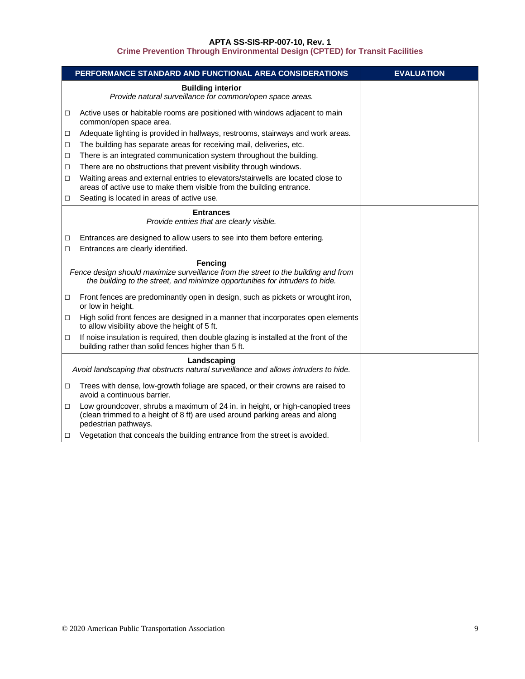|        | PERFORMANCE STANDARD AND FUNCTIONAL AREA CONSIDERATIONS                                                                                                                               | <b>EVALUATION</b> |
|--------|---------------------------------------------------------------------------------------------------------------------------------------------------------------------------------------|-------------------|
|        | <b>Building interior</b><br>Provide natural surveillance for common/open space areas.                                                                                                 |                   |
| □      | Active uses or habitable rooms are positioned with windows adjacent to main<br>common/open space area.                                                                                |                   |
| □      | Adequate lighting is provided in hallways, restrooms, stairways and work areas.                                                                                                       |                   |
| □      | The building has separate areas for receiving mail, deliveries, etc.                                                                                                                  |                   |
| □      | There is an integrated communication system throughout the building.                                                                                                                  |                   |
| □      | There are no obstructions that prevent visibility through windows.                                                                                                                    |                   |
| □      | Waiting areas and external entries to elevators/stairwells are located close to<br>areas of active use to make them visible from the building entrance.                               |                   |
| □      | Seating is located in areas of active use.                                                                                                                                            |                   |
|        | <b>Entrances</b><br>Provide entries that are clearly visible.                                                                                                                         |                   |
| □      | Entrances are designed to allow users to see into them before entering.                                                                                                               |                   |
| $\Box$ | Entrances are clearly identified.                                                                                                                                                     |                   |
|        | <b>Fencing</b><br>Fence design should maximize surveillance from the street to the building and from<br>the building to the street, and minimize opportunities for intruders to hide. |                   |
| □      | Front fences are predominantly open in design, such as pickets or wrought iron,<br>or low in height.                                                                                  |                   |
| $\Box$ | High solid front fences are designed in a manner that incorporates open elements<br>to allow visibility above the height of 5 ft.                                                     |                   |
| $\Box$ | If noise insulation is required, then double glazing is installed at the front of the<br>building rather than solid fences higher than 5 ft.                                          |                   |
|        | Landscaping<br>Avoid landscaping that obstructs natural surveillance and allows intruders to hide.                                                                                    |                   |
|        |                                                                                                                                                                                       |                   |
| □      | Trees with dense, low-growth foliage are spaced, or their crowns are raised to<br>avoid a continuous barrier.                                                                         |                   |
| □      | Low groundcover, shrubs a maximum of 24 in. in height, or high-canopied trees<br>(clean trimmed to a height of 8 ft) are used around parking areas and along<br>pedestrian pathways.  |                   |
| □      | Vegetation that conceals the building entrance from the street is avoided.                                                                                                            |                   |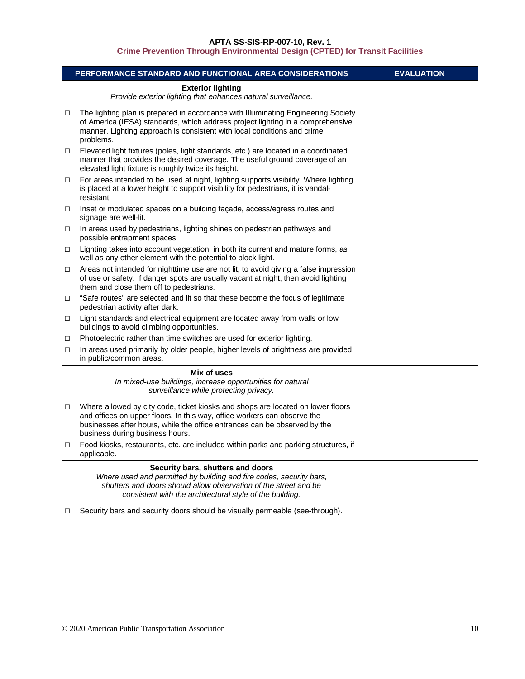|        | PERFORMANCE STANDARD AND FUNCTIONAL AREA CONSIDERATIONS                                                                                                                                                                                                                     | <b>EVALUATION</b> |
|--------|-----------------------------------------------------------------------------------------------------------------------------------------------------------------------------------------------------------------------------------------------------------------------------|-------------------|
|        | <b>Exterior lighting</b><br>Provide exterior lighting that enhances natural surveillance.                                                                                                                                                                                   |                   |
| $\Box$ | The lighting plan is prepared in accordance with Illuminating Engineering Society<br>of America (IESA) standards, which address project lighting in a comprehensive<br>manner. Lighting approach is consistent with local conditions and crime<br>problems.                 |                   |
| □      | Elevated light fixtures (poles, light standards, etc.) are located in a coordinated<br>manner that provides the desired coverage. The useful ground coverage of an<br>elevated light fixture is roughly twice its height.                                                   |                   |
| $\Box$ | For areas intended to be used at night, lighting supports visibility. Where lighting<br>is placed at a lower height to support visibility for pedestrians, it is vandal-<br>resistant.                                                                                      |                   |
| □      | Inset or modulated spaces on a building façade, access/egress routes and<br>signage are well-lit.                                                                                                                                                                           |                   |
| □      | In areas used by pedestrians, lighting shines on pedestrian pathways and<br>possible entrapment spaces.                                                                                                                                                                     |                   |
| □      | Lighting takes into account vegetation, in both its current and mature forms, as<br>well as any other element with the potential to block light.                                                                                                                            |                   |
| □      | Areas not intended for nighttime use are not lit, to avoid giving a false impression<br>of use or safety. If danger spots are usually vacant at night, then avoid lighting<br>them and close them off to pedestrians.                                                       |                   |
| □      | "Safe routes" are selected and lit so that these become the focus of legitimate<br>pedestrian activity after dark.                                                                                                                                                          |                   |
| □      | Light standards and electrical equipment are located away from walls or low<br>buildings to avoid climbing opportunities.                                                                                                                                                   |                   |
| □      | Photoelectric rather than time switches are used for exterior lighting.                                                                                                                                                                                                     |                   |
| □      | In areas used primarily by older people, higher levels of brightness are provided<br>in public/common areas.                                                                                                                                                                |                   |
|        | Mix of uses<br>In mixed-use buildings, increase opportunities for natural<br>surveillance while protecting privacy.                                                                                                                                                         |                   |
| $\Box$ | Where allowed by city code, ticket kiosks and shops are located on lower floors<br>and offices on upper floors. In this way, office workers can observe the<br>businesses after hours, while the office entrances can be observed by the<br>business during business hours. |                   |
| □      | Food kiosks, restaurants, etc. are included within parks and parking structures, if<br>applicable.                                                                                                                                                                          |                   |
|        | Security bars, shutters and doors<br>Where used and permitted by building and fire codes, security bars,<br>shutters and doors should allow observation of the street and be<br>consistent with the architectural style of the building.                                    |                   |
| □      | Security bars and security doors should be visually permeable (see-through).                                                                                                                                                                                                |                   |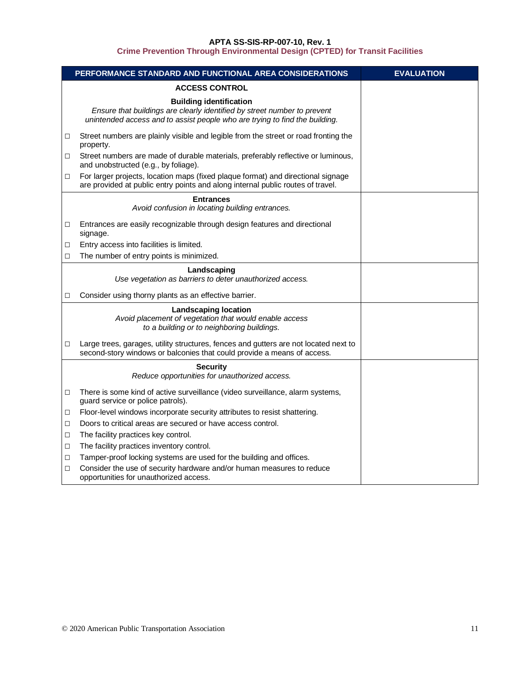|        | PERFORMANCE STANDARD AND FUNCTIONAL AREA CONSIDERATIONS                                                                                                                                   | <b>EVALUATION</b> |
|--------|-------------------------------------------------------------------------------------------------------------------------------------------------------------------------------------------|-------------------|
|        | <b>ACCESS CONTROL</b>                                                                                                                                                                     |                   |
|        | <b>Building identification</b><br>Ensure that buildings are clearly identified by street number to prevent<br>unintended access and to assist people who are trying to find the building. |                   |
| □      | Street numbers are plainly visible and legible from the street or road fronting the<br>property.                                                                                          |                   |
| □      | Street numbers are made of durable materials, preferably reflective or luminous,<br>and unobstructed (e.g., by foliage).                                                                  |                   |
| □      | For larger projects, location maps (fixed plaque format) and directional signage<br>are provided at public entry points and along internal public routes of travel.                       |                   |
|        | <b>Entrances</b><br>Avoid confusion in locating building entrances.                                                                                                                       |                   |
| □      | Entrances are easily recognizable through design features and directional<br>signage.                                                                                                     |                   |
| □      | Entry access into facilities is limited.                                                                                                                                                  |                   |
| □      | The number of entry points is minimized.                                                                                                                                                  |                   |
|        | Landscaping<br>Use vegetation as barriers to deter unauthorized access.                                                                                                                   |                   |
| □      | Consider using thorny plants as an effective barrier.                                                                                                                                     |                   |
|        | <b>Landscaping location</b><br>Avoid placement of vegetation that would enable access<br>to a building or to neighboring buildings.                                                       |                   |
| □      | Large trees, garages, utility structures, fences and gutters are not located next to<br>second-story windows or balconies that could provide a means of access.                           |                   |
|        | <b>Security</b><br>Reduce opportunities for unauthorized access.                                                                                                                          |                   |
| $\Box$ | There is some kind of active surveillance (video surveillance, alarm systems,<br>guard service or police patrols).                                                                        |                   |
| □      | Floor-level windows incorporate security attributes to resist shattering.                                                                                                                 |                   |
| $\Box$ | Doors to critical areas are secured or have access control.                                                                                                                               |                   |
| □      | The facility practices key control.                                                                                                                                                       |                   |
| □      | The facility practices inventory control.                                                                                                                                                 |                   |
| □      | Tamper-proof locking systems are used for the building and offices.                                                                                                                       |                   |
| □      | Consider the use of security hardware and/or human measures to reduce<br>opportunities for unauthorized access.                                                                           |                   |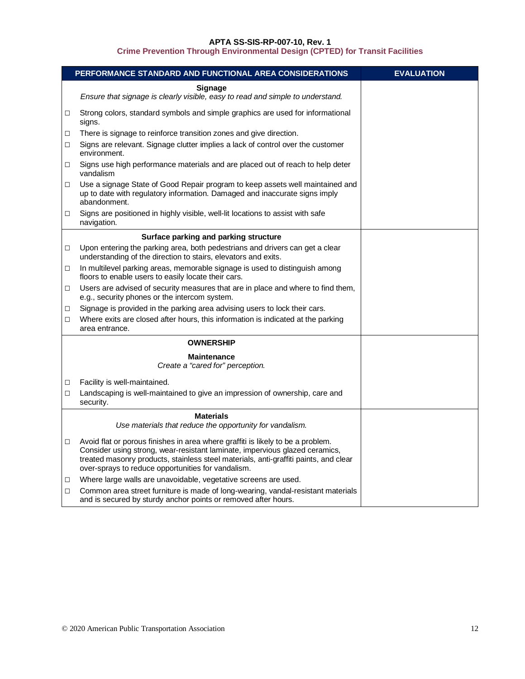|        | PERFORMANCE STANDARD AND FUNCTIONAL AREA CONSIDERATIONS                                                                                                                     | <b>EVALUATION</b> |
|--------|-----------------------------------------------------------------------------------------------------------------------------------------------------------------------------|-------------------|
|        | <b>Signage</b><br>Ensure that signage is clearly visible, easy to read and simple to understand.                                                                            |                   |
| □      | Strong colors, standard symbols and simple graphics are used for informational<br>signs.                                                                                    |                   |
| $\Box$ | There is signage to reinforce transition zones and give direction.                                                                                                          |                   |
| □      | Signs are relevant. Signage clutter implies a lack of control over the customer<br>environment.                                                                             |                   |
| □      | Signs use high performance materials and are placed out of reach to help deter<br>vandalism                                                                                 |                   |
| □      | Use a signage State of Good Repair program to keep assets well maintained and<br>up to date with regulatory information. Damaged and inaccurate signs imply<br>abandonment. |                   |
| □      | Signs are positioned in highly visible, well-lit locations to assist with safe<br>navigation.                                                                               |                   |
|        | Surface parking and parking structure                                                                                                                                       |                   |
| $\Box$ | Upon entering the parking area, both pedestrians and drivers can get a clear<br>understanding of the direction to stairs, elevators and exits.                              |                   |
| □      | In multilevel parking areas, memorable signage is used to distinguish among<br>floors to enable users to easily locate their cars.                                          |                   |
| □      | Users are advised of security measures that are in place and where to find them,<br>e.g., security phones or the intercom system.                                           |                   |
| □      | Signage is provided in the parking area advising users to lock their cars.                                                                                                  |                   |
| □      | Where exits are closed after hours, this information is indicated at the parking<br>area entrance.                                                                          |                   |
|        | <b>OWNERSHIP</b>                                                                                                                                                            |                   |
|        | <b>Maintenance</b><br>Create a "cared for" perception.                                                                                                                      |                   |
|        |                                                                                                                                                                             |                   |
| □      | Facility is well-maintained.                                                                                                                                                |                   |
| □      | Landscaping is well-maintained to give an impression of ownership, care and<br>security.                                                                                    |                   |
|        | <b>Materials</b><br>Use materials that reduce the opportunity for vandalism.                                                                                                |                   |
|        |                                                                                                                                                                             |                   |
| □      | Avoid flat or porous finishes in area where graffiti is likely to be a problem.<br>Consider using strong, wear-resistant laminate, impervious glazed ceramics,              |                   |
|        | treated masonry products, stainless steel materials, anti-graffiti paints, and clear<br>over-sprays to reduce opportunities for vandalism.                                  |                   |
| □      | Where large walls are unavoidable, vegetative screens are used.                                                                                                             |                   |
| □      | Common area street furniture is made of long-wearing, vandal-resistant materials<br>and is secured by sturdy anchor points or removed after hours.                          |                   |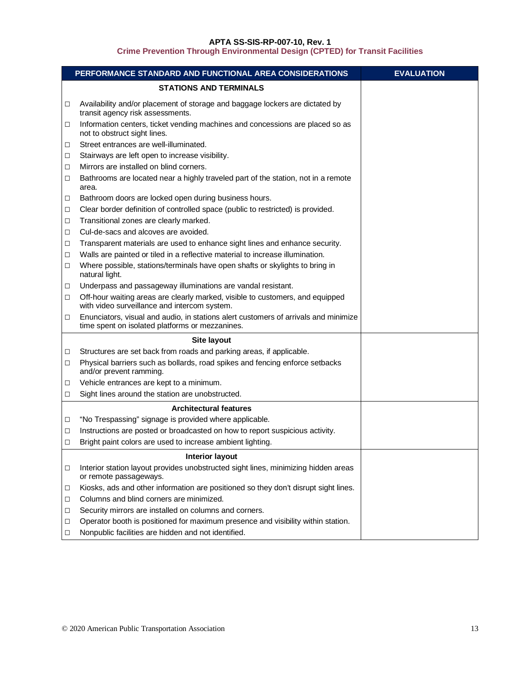|        | PERFORMANCE STANDARD AND FUNCTIONAL AREA CONSIDERATIONS                                                                                | <b>EVALUATION</b> |
|--------|----------------------------------------------------------------------------------------------------------------------------------------|-------------------|
|        | <b>STATIONS AND TERMINALS</b>                                                                                                          |                   |
| □      | Availability and/or placement of storage and baggage lockers are dictated by<br>transit agency risk assessments.                       |                   |
| □      | Information centers, ticket vending machines and concessions are placed so as<br>not to obstruct sight lines.                          |                   |
| □      | Street entrances are well-illuminated.                                                                                                 |                   |
| □      | Stairways are left open to increase visibility.                                                                                        |                   |
| □      | Mirrors are installed on blind corners.                                                                                                |                   |
| □      | Bathrooms are located near a highly traveled part of the station, not in a remote<br>area.                                             |                   |
| □      | Bathroom doors are locked open during business hours.                                                                                  |                   |
| □      | Clear border definition of controlled space (public to restricted) is provided.                                                        |                   |
| □      | Transitional zones are clearly marked.                                                                                                 |                   |
| □      | Cul-de-sacs and alcoves are avoided.                                                                                                   |                   |
| □      | Transparent materials are used to enhance sight lines and enhance security.                                                            |                   |
| □      | Walls are painted or tiled in a reflective material to increase illumination.                                                          |                   |
| □      | Where possible, stations/terminals have open shafts or skylights to bring in<br>natural light.                                         |                   |
| □      | Underpass and passageway illuminations are vandal resistant.                                                                           |                   |
| □      | Off-hour waiting areas are clearly marked, visible to customers, and equipped<br>with video surveillance and intercom system.          |                   |
| □      | Enunciators, visual and audio, in stations alert customers of arrivals and minimize<br>time spent on isolated platforms or mezzanines. |                   |
|        | Site layout                                                                                                                            |                   |
| □      | Structures are set back from roads and parking areas, if applicable.                                                                   |                   |
| □      | Physical barriers such as bollards, road spikes and fencing enforce setbacks<br>and/or prevent ramming.                                |                   |
| □      | Vehicle entrances are kept to a minimum.                                                                                               |                   |
| $\Box$ | Sight lines around the station are unobstructed.                                                                                       |                   |
|        | <b>Architectural features</b>                                                                                                          |                   |
| $\Box$ | "No Trespassing" signage is provided where applicable.                                                                                 |                   |
| □      | Instructions are posted or broadcasted on how to report suspicious activity.                                                           |                   |
| □      | Bright paint colors are used to increase ambient lighting.                                                                             |                   |
|        | <b>Interior layout</b>                                                                                                                 |                   |
| □      | Interior station layout provides unobstructed sight lines, minimizing hidden areas<br>or remote passageways.                           |                   |
| □      | Kiosks, ads and other information are positioned so they don't disrupt sight lines.                                                    |                   |
| □      | Columns and blind corners are minimized.                                                                                               |                   |
| □      | Security mirrors are installed on columns and corners.                                                                                 |                   |
| □      | Operator booth is positioned for maximum presence and visibility within station.                                                       |                   |
| □      | Nonpublic facilities are hidden and not identified.                                                                                    |                   |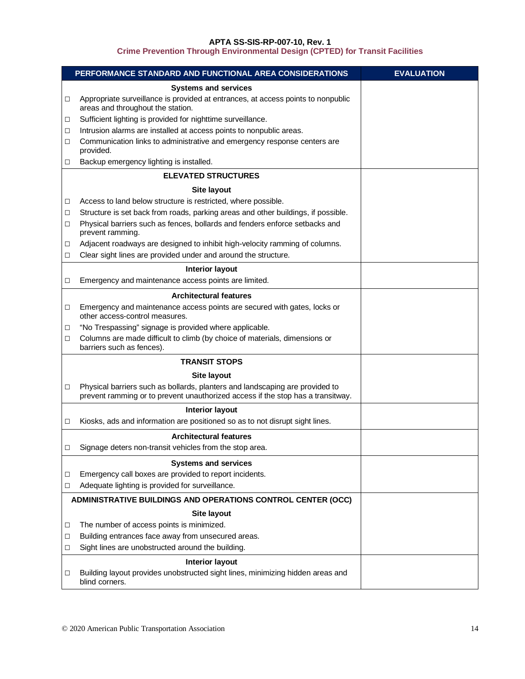|   | PERFORMANCE STANDARD AND FUNCTIONAL AREA CONSIDERATIONS                                                                                                         | <b>EVALUATION</b> |
|---|-----------------------------------------------------------------------------------------------------------------------------------------------------------------|-------------------|
|   | <b>Systems and services</b>                                                                                                                                     |                   |
| □ | Appropriate surveillance is provided at entrances, at access points to nonpublic<br>areas and throughout the station.                                           |                   |
| □ | Sufficient lighting is provided for nighttime surveillance.                                                                                                     |                   |
| □ | Intrusion alarms are installed at access points to nonpublic areas.                                                                                             |                   |
| □ | Communication links to administrative and emergency response centers are<br>provided.                                                                           |                   |
| □ | Backup emergency lighting is installed.                                                                                                                         |                   |
|   | <b>ELEVATED STRUCTURES</b>                                                                                                                                      |                   |
|   | Site layout                                                                                                                                                     |                   |
| □ | Access to land below structure is restricted, where possible.                                                                                                   |                   |
| □ | Structure is set back from roads, parking areas and other buildings, if possible.                                                                               |                   |
| □ | Physical barriers such as fences, bollards and fenders enforce setbacks and<br>prevent ramming.                                                                 |                   |
| □ | Adjacent roadways are designed to inhibit high-velocity ramming of columns.                                                                                     |                   |
| □ | Clear sight lines are provided under and around the structure.                                                                                                  |                   |
|   | <b>Interior layout</b>                                                                                                                                          |                   |
| □ | Emergency and maintenance access points are limited.                                                                                                            |                   |
|   | <b>Architectural features</b>                                                                                                                                   |                   |
| □ | Emergency and maintenance access points are secured with gates, locks or<br>other access-control measures.                                                      |                   |
| □ | "No Trespassing" signage is provided where applicable.                                                                                                          |                   |
| □ | Columns are made difficult to climb (by choice of materials, dimensions or<br>barriers such as fences).                                                         |                   |
|   | <b>TRANSIT STOPS</b>                                                                                                                                            |                   |
|   | <b>Site layout</b>                                                                                                                                              |                   |
| □ | Physical barriers such as bollards, planters and landscaping are provided to<br>prevent ramming or to prevent unauthorized access if the stop has a transitway. |                   |
|   | <b>Interior layout</b>                                                                                                                                          |                   |
| □ | Kiosks, ads and information are positioned so as to not disrupt sight lines.                                                                                    |                   |
|   | <b>Architectural features</b>                                                                                                                                   |                   |
| п | Signage deters non-transit vehicles from the stop area                                                                                                          |                   |
|   | <b>Systems and services</b>                                                                                                                                     |                   |
| □ | Emergency call boxes are provided to report incidents.                                                                                                          |                   |
| □ | Adequate lighting is provided for surveillance.                                                                                                                 |                   |
|   | ADMINISTRATIVE BUILDINGS AND OPERATIONS CONTROL CENTER (OCC)                                                                                                    |                   |
|   | Site layout                                                                                                                                                     |                   |
| □ | The number of access points is minimized.                                                                                                                       |                   |
| □ | Building entrances face away from unsecured areas.                                                                                                              |                   |
| □ | Sight lines are unobstructed around the building.                                                                                                               |                   |
|   | <b>Interior layout</b>                                                                                                                                          |                   |
| □ | Building layout provides unobstructed sight lines, minimizing hidden areas and<br>blind corners.                                                                |                   |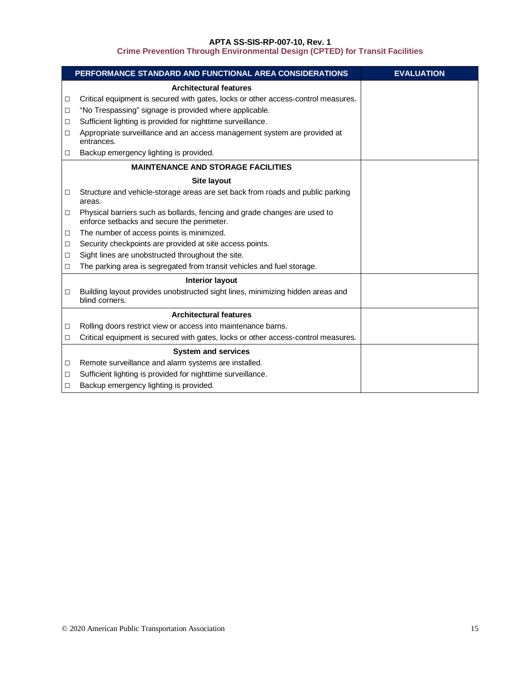|        | PERFORMANCE STANDARD AND FUNCTIONAL AREA CONSIDERATIONS                                                                 | <b>EVALUATION</b> |
|--------|-------------------------------------------------------------------------------------------------------------------------|-------------------|
|        | <b>Architectural features</b>                                                                                           |                   |
| $\Box$ | Critical equipment is secured with gates, locks or other access-control measures.                                       |                   |
| $\Box$ | "No Trespassing" signage is provided where applicable.                                                                  |                   |
| $\Box$ | Sufficient lighting is provided for nighttime surveillance.                                                             |                   |
| □      | Appropriate surveillance and an access management system are provided at<br>entrances.                                  |                   |
| □      | Backup emergency lighting is provided.                                                                                  |                   |
|        | <b>MAINTENANCE AND STORAGE FACILITIES</b>                                                                               |                   |
|        | <b>Site layout</b>                                                                                                      |                   |
| $\Box$ | Structure and vehicle-storage areas are set back from roads and public parking<br>areas.                                |                   |
| □      | Physical barriers such as bollards, fencing and grade changes are used to<br>enforce setbacks and secure the perimeter. |                   |
| $\Box$ | The number of access points is minimized.                                                                               |                   |
| $\Box$ | Security checkpoints are provided at site access points.                                                                |                   |
| п      | Sight lines are unobstructed throughout the site.                                                                       |                   |
| $\Box$ | The parking area is segregated from transit vehicles and fuel storage.                                                  |                   |
|        | <b>Interior layout</b>                                                                                                  |                   |
| $\Box$ | Building layout provides unobstructed sight lines, minimizing hidden areas and<br>blind corners.                        |                   |
|        | <b>Architectural features</b>                                                                                           |                   |
| □      | Rolling doors restrict view or access into maintenance barns.                                                           |                   |
| $\Box$ | Critical equipment is secured with gates, locks or other access-control measures.                                       |                   |
|        | <b>System and services</b>                                                                                              |                   |
| $\Box$ | Remote surveillance and alarm systems are installed.                                                                    |                   |
| □      | Sufficient lighting is provided for nighttime surveillance.                                                             |                   |
| □      | Backup emergency lighting is provided.                                                                                  |                   |